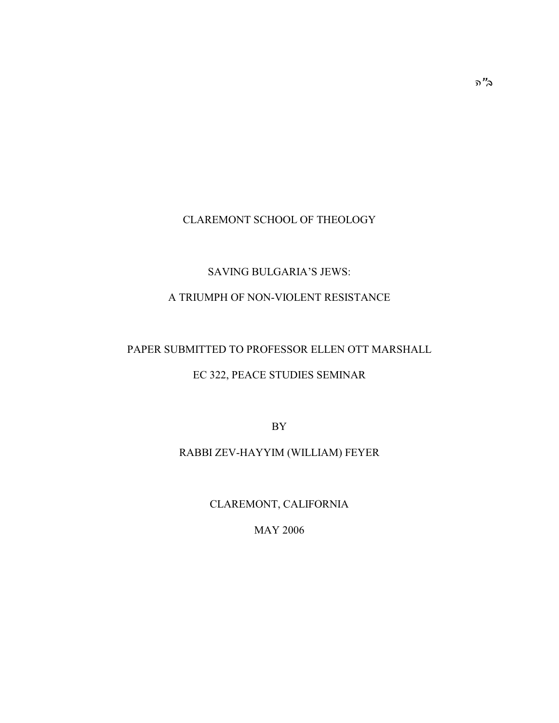# CLAREMONT SCHOOL OF THEOLOGY

# SAVING BULGARIA'S JEWS:

# A TRIUMPH OF NON-VIOLENT RESISTANCE

# PAPER SUBMITTED TO PROFESSOR ELLEN OTT MARSHALL

## EC 322, PEACE STUDIES SEMINAR

BY

# RABBI ZEV-HAYYIM (WILLIAM) FEYER

CLAREMONT, CALIFORNIA

MAY 2006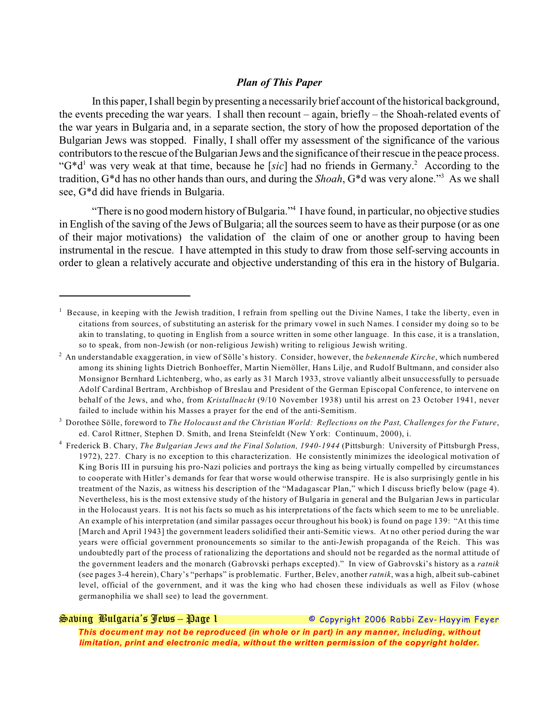### *Plan of This Paper*

In this paper, I shall begin by presenting a necessarily brief account of the historical background. the events preceding the war years. I shall then recount – again, briefly – the Shoah-related events of the war years in Bulgaria and, in a separate section, the story of how the proposed deportation of the Bulgarian Jews was stopped. Finally, I shall offer my assessment of the significance of the various contributors to the rescue of the Bulgarian Jews and the significance of their rescue in the peace process. " $G^*d^1$  was very weak at that time, because he [*sic*] had no friends in Germany.<sup>2</sup> According to the tradition, G<sup>\*</sup>d has no other hands than ours, and during the *Shoah*, G<sup>\*</sup>d was very alone."<sup>3</sup> As we shall see, G\*d did have friends in Bulgaria.

"There is no good modern history of Bulgaria."<sup>4</sup> I have found, in particular, no objective studies in English of the saving of the Jews of Bulgaria; all the sources seem to have as their purpose (or as one of their major motivations) the validation of the claim of one or another group to having been instrumental in the rescue. I have attempted in this study to draw from those self-serving accounts in order to glean a relatively accurate and objective understanding of this era in the history of Bulgaria.

*Saving Bulgaria's Jews – Page 1 © Copyright 2006 Rabbi Zev- Hayyim Feyer*

 $<sup>1</sup>$  Because, in keeping with the Jewish tradition, I refrain from spelling out the Divine Names, I take the liberty, even in</sup> citations from sources, of substituting an asterisk for the primary vowel in such Names. I consider my doing so to be akin to translating, to quoting in English from a source written in some other language. In this case, it is a translation, so to speak, from non-Jewish (or non-religious Jewish) writing to religious Jewish writing.

An understandable exaggeration, in view of Sölle's history. Consider, however, the *bekennende Kirche*, which numbered <sup>2</sup> among its shining lights Dietrich Bonhoeffer, Martin Niemöller, Hans Lilje, and Rudolf Bultmann, and consider also Monsignor Bernhard Lichtenberg, who, as early as 31 March 1933, strove valiantly albeit unsuccessfully to persuade Adolf Cardinal Bertram, Archbishop of Breslau and President of the German Episcopal Conference, to intervene on behalf of the Jews, and who, from *Kristallnacht* (9/10 November 1938) until his arrest on 23 October 1941, never failed to include within his Masses a prayer for the end of the anti-Semitism.

Dorothee Sölle, foreword to *The Holocaust and the Christian World: Reflections on the Past, Challenges for the Future*, 3 ed. Carol Rittner, Stephen D. Smith, and Irena Steinfeldt (New York: Continuum, 2000), i.

Frederick B. Chary, *The Bulgarian Jews and the Final Solution, 1940-1944* (Pittsburgh: University of Pittsburgh Press, <sup>4</sup> 1972), 227. Chary is no exception to this characterization. He consistently minimizes the ideological motivation of King Boris III in pursuing his pro-Nazi policies and portrays the king as being virtually compelled by circumstances to cooperate with Hitler's demands for fear that worse would otherwise transpire. He is also surprisingly gentle in his treatment of the Nazis, as witness his description of the "Madagascar Plan," which I discuss briefly below (page 4). Nevertheless, his is the most extensive study of the history of Bulgaria in general and the Bulgarian Jews in particular in the Holocaust years. It is not his facts so much as his interpretations of the facts which seem to me to be unreliable. An example of his interpretation (and similar passages occur throughout his book) is found on page 139: "At this time [March and April 1943] the government leaders solidified their anti-Semitic views. At no other period during the war years were official government pronouncements so similar to the anti-Jewish propaganda of the Reich. This was undoubtedly part of the process of rationalizing the deportations and should not be regarded as the normal attitude of the government leaders and the monarch (Gabrovski perhaps excepted)." In view of Gabrovski's history as a *ratnik* (see pages 3-4 herein), Chary's "perhaps" is problematic. Further, Belev, another *ratnik*, was a high, albeit sub-cabinet level, official of the government, and it was the king who had chosen these individuals as well as Filov (whose germanophilia we shall see) to lead the government.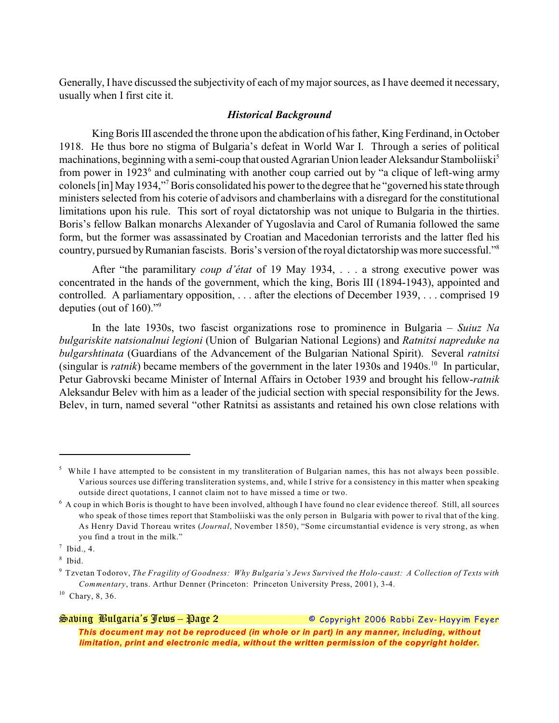Generally, I have discussed the subjectivity of each of my major sources, as I have deemed it necessary, usually when I first cite it.

### *Historical Background*

King Boris III ascended the throne upon the abdication of his father, King Ferdinand, in October 1918. He thus bore no stigma of Bulgaria's defeat in World War I. Through a series of political machinations, beginning with a semi-coup that ousted Agrarian Union leader Aleksandur Stamboliiski<sup>5</sup> from power in  $1923<sup>6</sup>$  and culminating with another coup carried out by "a clique of left-wing army colonels [in] May 1934," Boris consolidated his power to the degree that he "governed his state through <sup>7</sup> ministers selected from his coterie of advisors and chamberlains with a disregard for the constitutional limitations upon his rule. This sort of royal dictatorship was not unique to Bulgaria in the thirties. Boris's fellow Balkan monarchs Alexander of Yugoslavia and Carol of Rumania followed the same form, but the former was assassinated by Croatian and Macedonian terrorists and the latter fled his country, pursued by Rumanian fascists. Boris's version of the royal dictatorship was more successful."<sup>8</sup>

After "the paramilitary *coup d'état* of 19 May 1934, . . . a strong executive power was concentrated in the hands of the government, which the king, Boris III (1894-1943), appointed and controlled. A parliamentary opposition, . . . after the elections of December 1939, . . . comprised 19 deputies (out of  $160$ )."<sup>9</sup>

In the late 1930s, two fascist organizations rose to prominence in Bulgaria – *Suiuz Na bulgariskite natsionalnui legioni* (Union of Bulgarian National Legions) and *Ratnitsi napreduke na bulgarshtinata* (Guardians of the Advancement of the Bulgarian National Spirit). Several *ratnitsi* (singular is *ratnik*) became members of the government in the later 1930s and 1940s.<sup>10</sup> In particular, Petur Gabrovski became Minister of Internal Affairs in October 1939 and brought his fellow-*ratnik* Aleksandur Belev with him as a leader of the judicial section with special responsibility for the Jews. Belev, in turn, named several "other Ratnitsi as assistants and retained his own close relations with

 $<sup>5</sup>$  While I have attempted to be consistent in my transliteration of Bulgarian names, this has not always been possible.</sup> Various sources use differing transliteration systems, and, while I strive for a consistency in this matter when speaking outside direct quotations, I cannot claim not to have missed a time or two.

 $\delta$  A coup in which Boris is thought to have been involved, although I have found no clear evidence thereof. Still, all sources who speak of those times report that Stamboliiski was the only person in Bulgaria with power to rival that of the king. As Henry David Thoreau writes (*Journal*, November 1850), "Some circumstantial evidence is very strong, as when you find a trout in the milk."

 $<sup>7</sup>$  Ibid., 4.</sup>

 $8$  Ibid.

Tzvetan Todorov, *The Fragility of Goodness: Why Bulgaria's Jews Survived the Holo-caust: A Collection of Texts with* <sup>9</sup> *Commentary*, trans. Arthur Denner (Princeton: Princeton University Press, 2001), 3-4.

 $10$  Chary, 8, 36.

*Saving Bulgaria's Jews – Page 2 © Copyright 2006 Rabbi Zev- Hayyim Feyer This document may not be reproduced (in whole or in part) in any manner, including, without limitation, print and electronic media, without the written permission of the copyright holder.*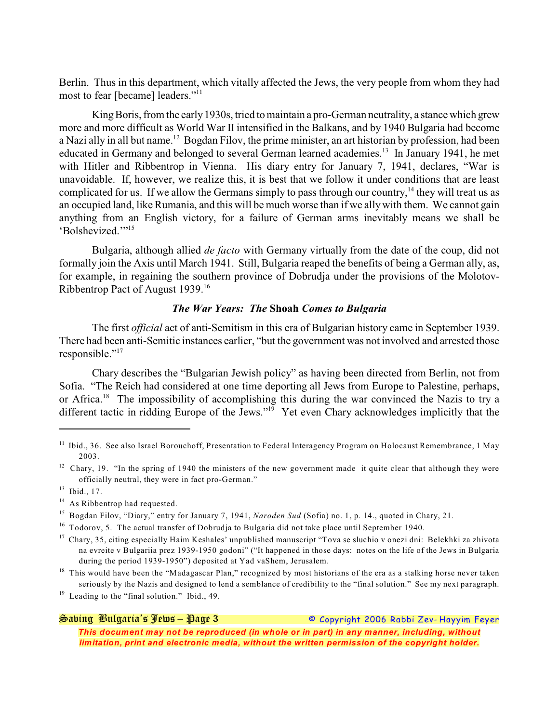Berlin. Thus in this department, which vitally affected the Jews, the very people from whom they had most to fear [became] leaders."<sup>11</sup>

King Boris, from the early 1930s, tried to maintain a pro-German neutrality, a stance which grew more and more difficult as World War II intensified in the Balkans, and by 1940 Bulgaria had become a Nazi ally in all but name.<sup>12</sup> Bogdan Filov, the prime minister, an art historian by profession, had been educated in Germany and belonged to several German learned academies.<sup>13</sup> In January 1941, he met with Hitler and Ribbentrop in Vienna. His diary entry for January 7, 1941, declares, "War is unavoidable. If, however, we realize this, it is best that we follow it under conditions that are least complicated for us. If we allow the Germans simply to pass through our country,  $14$  they will treat us as an occupied land, like Rumania, and this will be much worse than if we ally with them. We cannot gain anything from an English victory, for a failure of German arms inevitably means we shall be 'Bolshevized."<sup>15</sup>

Bulgaria, although allied *de facto* with Germany virtually from the date of the coup, did not formally join the Axis until March 1941. Still, Bulgaria reaped the benefits of being a German ally, as, for example, in regaining the southern province of Dobrudja under the provisions of the Molotov-Ribbentrop Pact of August 1939.<sup>16</sup>

## *The War Years: The* **Shoah** *Comes to Bulgaria*

The first *official* act of anti-Semitism in this era of Bulgarian history came in September 1939. There had been anti-Semitic instances earlier, "but the government was not involved and arrested those responsible."<sup>17</sup>

Chary describes the "Bulgarian Jewish policy" as having been directed from Berlin, not from Sofia. "The Reich had considered at one time deporting all Jews from Europe to Palestine, perhaps, or Africa.<sup>18</sup> The impossibility of accomplishing this during the war convinced the Nazis to try a different tactic in ridding Europe of the Jews."<sup>19</sup> Yet even Chary acknowledges implicitly that the

*Saving Bulgaria's Jews – Page 3 © Copyright 2006 Rabbi Zev- Hayyim Feyer*

 $<sup>11</sup>$  Ibid., 36. See also Israel Borouchoff, Presentation to Federal Interagency Program on Holocaust Remembrance, 1 May</sup> 2003.

 $12$  Chary, 19. "In the spring of 1940 the ministers of the new government made it quite clear that although they were officially neutral, they were in fact pro-German."

 $13$  Ibid., 17.

 $^{14}$  As Ribbentrop had requested.

<sup>&</sup>lt;sup>15</sup> Bogdan Filov, "Diary," entry for January 7, 1941, *Naroden Sud* (Sofia) no. 1, p. 14., quoted in Chary, 21.

 $16$  Todorov, 5. The actual transfer of Dobrudja to Bulgaria did not take place until September 1940.

<sup>&</sup>lt;sup>17</sup> Chary, 35, citing especially Haim Keshales' unpublished manuscript "Tova se sluchio v onezi dni: Belekhki za zhivota na evreite v Bulgariia prez 1939-1950 godoni" ("It happened in those days: notes on the life of the Jews in Bulgaria during the period 1939-1950") deposited at Yad vaShem, Jerusalem.

 $18$  This would have been the "Madagascar Plan," recognized by most historians of the era as a stalking horse never taken seriously by the Nazis and designed to lend a semblance of credibility to the "final solution." See my next paragraph.

 $^{19}$  Leading to the "final solution." Ibid., 49.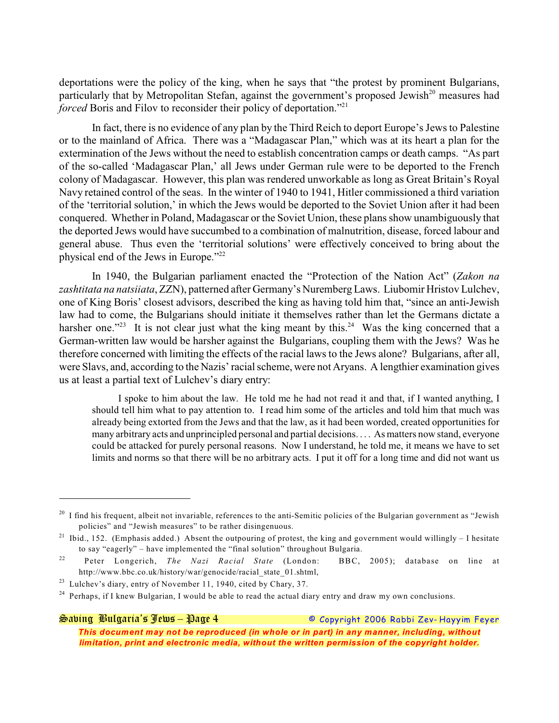deportations were the policy of the king, when he says that "the protest by prominent Bulgarians, particularly that by Metropolitan Stefan, against the government's proposed Jewish $^{20}$  measures had *forced* Boris and Filov to reconsider their policy of deportation."<sup>21</sup>

In fact, there is no evidence of any plan by the Third Reich to deport Europe's Jews to Palestine or to the mainland of Africa. There was a "Madagascar Plan," which was at its heart a plan for the extermination of the Jews without the need to establish concentration camps or death camps. "As part of the so-called 'Madagascar Plan,' all Jews under German rule were to be deported to the French colony of Madagascar. However, this plan was rendered unworkable as long as Great Britain's Royal Navy retained control of the seas. In the winter of 1940 to 1941, Hitler commissioned a third variation of the 'territorial solution,' in which the Jews would be deported to the Soviet Union after it had been conquered. Whether in Poland, Madagascar or the Soviet Union, these plans show unambiguously that the deported Jews would have succumbed to a combination of malnutrition, disease, forced labour and general abuse. Thus even the 'territorial solutions' were effectively conceived to bring about the physical end of the Jews in Europe."<sup>22</sup>

In 1940, the Bulgarian parliament enacted the "Protection of the Nation Act" (*Zakon na zashtitata na natsiiata*, ZZN), patterned after Germany's Nuremberg Laws. Liubomir Hristov Lulchev, one of King Boris' closest advisors, described the king as having told him that, "since an anti-Jewish law had to come, the Bulgarians should initiate it themselves rather than let the Germans dictate a harsher one."<sup>23</sup> It is not clear just what the king meant by this.<sup>24</sup> Was the king concerned that a German-written law would be harsher against the Bulgarians, coupling them with the Jews? Was he therefore concerned with limiting the effects of the racial laws to the Jews alone? Bulgarians, after all, were Slavs, and, according to the Nazis' racial scheme, were not Aryans. A lengthier examination gives us at least a partial text of Lulchev's diary entry:

I spoke to him about the law. He told me he had not read it and that, if I wanted anything, I should tell him what to pay attention to. I read him some of the articles and told him that much was already being extorted from the Jews and that the law, as it had been worded, created opportunities for many arbitrary acts and unprincipled personal and partial decisions. . . . As matters now stand, everyone could be attacked for purely personal reasons. Now I understand, he told me, it means we have to set limits and norms so that there will be no arbitrary acts. I put it off for a long time and did not want us

*Saving Bulgaria's Jews – Page 4 © Copyright 2006 Rabbi Zev- Hayyim Feyer This document may not be reproduced (in whole or in part) in any manner, including, without limitation, print and electronic media, without the written permission of the copyright holder.*

 $^{20}$  I find his frequent, albeit not invariable, references to the anti-Semitic policies of the Bulgarian government as "Jewish" policies" and "Jewish measures" to be rather disingenuous.

<sup>&</sup>lt;sup>21</sup> Ibid., 152. (Emphasis added.) Absent the outpouring of protest, the king and government would willingly – I hesitate to say "eagerly" – have implemented the "final solution" throughout Bulgaria.

<sup>&</sup>lt;sup>22</sup> Peter Longerich, *The Nazi Racial State* (London: BBC, 2005); database on line at http://www.bbc.co.uk/history/war/genocide/racial\_state\_01.shtml,

 $23$  Lulchev's diary, entry of November 11, 1940, cited by Chary, 37.

<sup>&</sup>lt;sup>24</sup> Perhaps, if I knew Bulgarian, I would be able to read the actual diary entry and draw my own conclusions.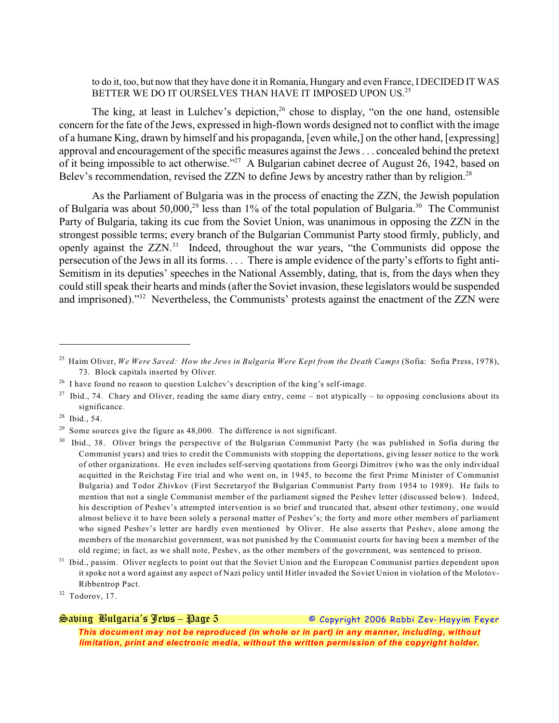to do it, too, but now that they have done it in Romania, Hungary and even France, I DECIDED IT WAS BETTER WE DO IT OURSELVES THAN HAVE IT IMPOSED UPON US.<sup>25</sup>

The king, at least in Lulchev's depiction,  $26$  chose to display, "on the one hand, ostensible concern for the fate of the Jews, expressed in high-flown words designed not to conflict with the image of a humane King, drawn by himself and his propaganda, [even while,] on the other hand, [expressing] approval and encouragement of the specific measures against the Jews . . . concealed behind the pretext of it being impossible to act otherwise."<sup>27</sup> A Bulgarian cabinet decree of August 26, 1942, based on Belev's recommendation, revised the ZZN to define Jews by ancestry rather than by religion.<sup>28</sup>

As the Parliament of Bulgaria was in the process of enacting the ZZN, the Jewish population of Bulgaria was about 50,000,<sup>29</sup> less than 1% of the total population of Bulgaria.<sup>30</sup> The Communist Party of Bulgaria, taking its cue from the Soviet Union, was unanimous in opposing the ZZN in the strongest possible terms; every branch of the Bulgarian Communist Party stood firmly, publicly, and openly against the  $ZZN<sup>31</sup>$  Indeed, throughout the war years, "the Communists did oppose the persecution of the Jews in all its forms. . . . There is ample evidence of the party's efforts to fight anti-Semitism in its deputies' speeches in the National Assembly, dating, that is, from the days when they could still speak their hearts and minds (after the Soviet invasion, these legislators would be suspended and imprisoned)."<sup>32</sup> Nevertheless, the Communists' protests against the enactment of the ZZN were

*Saving Bulgaria's Jews – Page 5 © Copyright 2006 Rabbi Zev- Hayyim Feyer*

Haim Oliver, *We Were Saved: How the Jews in Bulgaria Were Kept from the Death Camps* (Sofia: Sofia Press, 1978), <sup>25</sup> 73. Block capitals inserted by Oliver.

 $^{26}$  I have found no reason to question Lulchev's description of the king's self-image.

<sup>&</sup>lt;sup>27</sup> Ibid., 74. Chary and Oliver, reading the same diary entry, come – not atypically – to opposing conclusions about its significance.

 $28$  Ibid., 54.

 $29$  Some sources give the figure as 48,000. The difference is not significant.

Ibid., 38. Oliver brings the perspective of the Bulgarian Communist Party (he was published in Sofia during the Communist years) and tries to credit the Communists with stopping the deportations, giving lesser notice to the work of other organizations. He even includes self-serving quotations from Georgi Dimitrov (who was the only individual acquitted in the Reichstag Fire trial and who went on, in 1945, to become the first Prime Minister of Communist Bulgaria) and Todor Zhivkov (First Secretaryof the Bulgarian Communist Party from 1954 to 1989). He fails to mention that not a single Communist member of the parliament signed the Peshev letter (discussed below). Indeed, his description of Peshev's attempted intervention is so brief and truncated that, absent other testimony, one would almost believe it to have been solely a personal matter of Peshev's; the forty and more other members of parliament who signed Peshev's letter are hardly even mentioned by Oliver. He also asserts that Peshev, alone among the members of the monarchist government, was not punished by the Communist courts for having been a member of the old regime; in fact, as we shall note, Peshev, as the other members of the government, was sentenced to prison.

 $31$  Ibid., passim. Oliver neglects to point out that the Soviet Union and the European Communist parties dependent upon it spoke not a word against any aspect of Nazi policy until Hitler invaded the Soviet Union in violation of the Molotov-Ribbentrop Pact.

 $32$  Todorov, 17.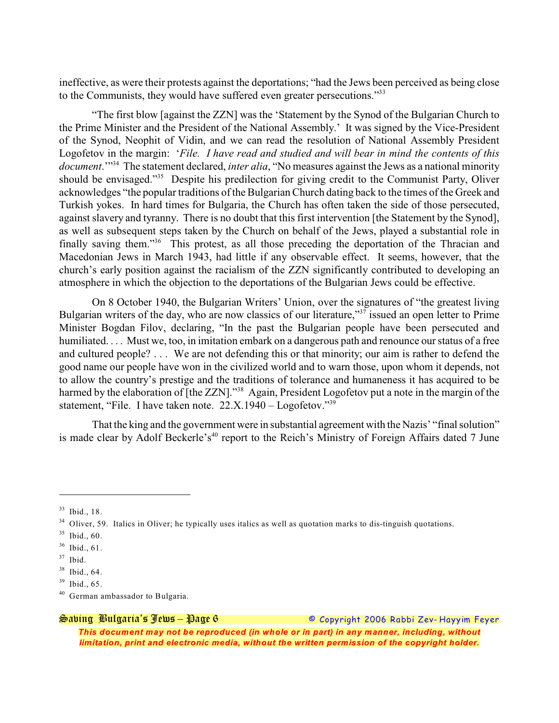ineffective, as were their protests against the deportations; "had the Jews been perceived as being close to the Communists, they would have suffered even greater persecutions."<sup>33</sup>

"The first blow [against the ZZN] was the 'Statement by the Synod of the Bulgarian Church to the Prime Minister and the President of the National Assembly.' It was signed by the Vice-President of the Synod, Neophit of Vidin, and we can read the resolution of National Assembly President Logofetov in the margin: '*File. I have read and studied and will bear in mind the contents of this document.*"<sup>34</sup> The statement declared, *inter alia*, "No measures against the Jews as a national minority should be envisaged."<sup>35</sup> Despite his predilection for giving credit to the Communist Party, Oliver acknowledges "the popular traditions of the Bulgarian Church dating back to the times of the Greek and Turkish yokes. In hard times for Bulgaria, the Church has often taken the side of those persecuted, against slavery and tyranny. There is no doubt that this first intervention [the Statement by the Synod], as well as subsequent steps taken by the Church on behalf of the Jews, played a substantial role in finally saving them."<sup>36</sup> This protest, as all those preceding the deportation of the Thracian and Macedonian Jews in March 1943, had little if any observable effect. It seems, however, that the church's early position against the racialism of the ZZN significantly contributed to developing an atmosphere in which the objection to the deportations of the Bulgarian Jews could be effective.

On 8 October 1940, the Bulgarian Writers' Union, over the signatures of "the greatest living Bulgarian writers of the day, who are now classics of our literature,"<sup>37</sup> issued an open letter to Prime Minister Bogdan Filov, declaring, "In the past the Bulgarian people have been persecuted and humiliated.... Must we, too, in imitation embark on a dangerous path and renounce our status of a free and cultured people? . . . We are not defending this or that minority; our aim is rather to defend the good name our people have won in the civilized world and to warn those, upon whom it depends, not to allow the country's prestige and the traditions of tolerance and humaneness it has acquired to be harmed by the elaboration of [the ZZN]."<sup>38</sup> Again, President Logofetov put a note in the margin of the statement, "File. I have taken note.  $22.X.1940 - Logofetov."$ <sup>39</sup>

That the king and the government were in substantial agreement with the Nazis' "final solution" is made clear by Adolf Beckerle's<sup>40</sup> report to the Reich's Ministry of Foreign Affairs dated 7 June

*Saving Bulgaria's Jews – Page 6 © Copyright 2006 Rabbi Zev- Hayyim Feyer*

<sup>&</sup>lt;sup>33</sup> Ibid., 18.

 $34$  Oliver, 59. Italics in Oliver; he typically uses italics as well as quotation marks to dis-tinguish quotations.

 $35$  Ibid., 60.

 $36$  Ibid., 61.

 $37$  Ibid.

 $38$  Ibid., 64.

 $39$  Ibid., 65.

 $40$  German ambassador to Bulgaria.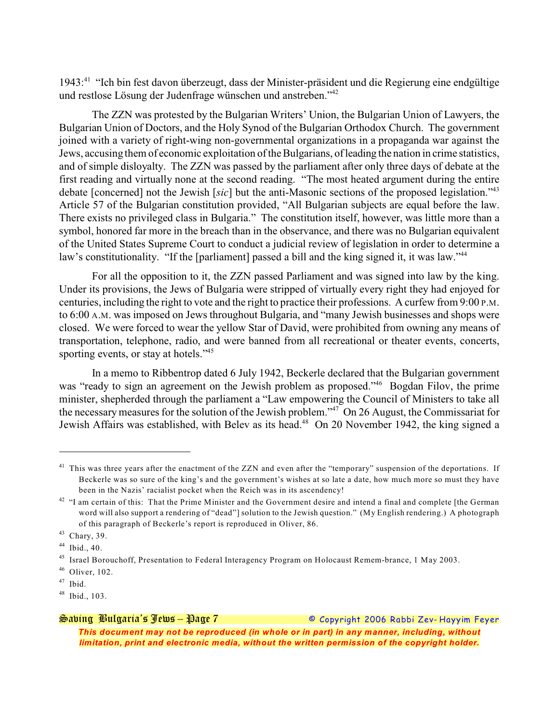1943:<sup>41</sup> "Ich bin fest davon überzeugt, dass der Minister-präsident und die Regierung eine endgültige und restlose Lösung der Judenfrage wünschen und anstreben."<sup>42</sup>

The ZZN was protested by the Bulgarian Writers' Union, the Bulgarian Union of Lawyers, the Bulgarian Union of Doctors, and the Holy Synod of the Bulgarian Orthodox Church. The government joined with a variety of right-wing non-governmental organizations in a propaganda war against the Jews, accusing them of economic exploitation of the Bulgarians, of leading the nation in crime statistics, and of simple disloyalty. The ZZN was passed by the parliament after only three days of debate at the first reading and virtually none at the second reading. "The most heated argument during the entire debate [concerned] not the Jewish [*sic*] but the anti-Masonic sections of the proposed legislation."<sup>43</sup> Article 57 of the Bulgarian constitution provided, "All Bulgarian subjects are equal before the law. There exists no privileged class in Bulgaria." The constitution itself, however, was little more than a symbol, honored far more in the breach than in the observance, and there was no Bulgarian equivalent of the United States Supreme Court to conduct a judicial review of legislation in order to determine a law's constitutionality. "If the [parliament] passed a bill and the king signed it, it was law."<sup>44</sup>

For all the opposition to it, the ZZN passed Parliament and was signed into law by the king. Under its provisions, the Jews of Bulgaria were stripped of virtually every right they had enjoyed for centuries, including the right to vote and the right to practice their professions. A curfew from 9:00 P.M. to 6:00 A.M. was imposed on Jews throughout Bulgaria, and "many Jewish businesses and shops were closed. We were forced to wear the yellow Star of David, were prohibited from owning any means of transportation, telephone, radio, and were banned from all recreational or theater events, concerts, sporting events, or stay at hotels."<sup>45</sup>

In a memo to Ribbentrop dated 6 July 1942, Beckerle declared that the Bulgarian government was "ready to sign an agreement on the Jewish problem as proposed."<sup>46</sup> Bogdan Filov, the prime minister, shepherded through the parliament a "Law empowering the Council of Ministers to take all the necessary measures for the solution of the Jewish problem." $\frac{1}{47}$  On 26 August, the Commissariat for Jewish Affairs was established, with Belev as its head.<sup>48</sup> On 20 November 1942, the king signed a

## *Saving Bulgaria's Jews – Page 7 © Copyright 2006 Rabbi Zev- Hayyim Feyer This document may not be reproduced (in whole or in part) in any manner, including, without limitation, print and electronic media, without the written permission of the copyright holder.*

 $41$  This was three years after the enactment of the ZZN and even after the "temporary" suspension of the deportations. If Beckerle was so sure of the king's and the government's wishes at so late a date, how much more so must they have been in the Nazis' racialist pocket when the Reich was in its ascendency!

 $42$  "I am certain of this: That the Prime Minister and the Government desire and intend a final and complete [the German word will also support a rendering of "dead"] solution to the Jewish question." (My English rendering.) A photograph of this paragraph of Beckerle's report is reproduced in Oliver, 86.

<sup>&</sup>lt;sup>43</sup> Chary, 39.

 $44$  Ibid., 40.

<sup>&</sup>lt;sup>45</sup> Israel Borouchoff, Presentation to Federal Interagency Program on Holocaust Remem-brance, 1 May 2003.

 $46$  Oliver, 102.

 $47$  Ibid.

 $48$  Ibid., 103.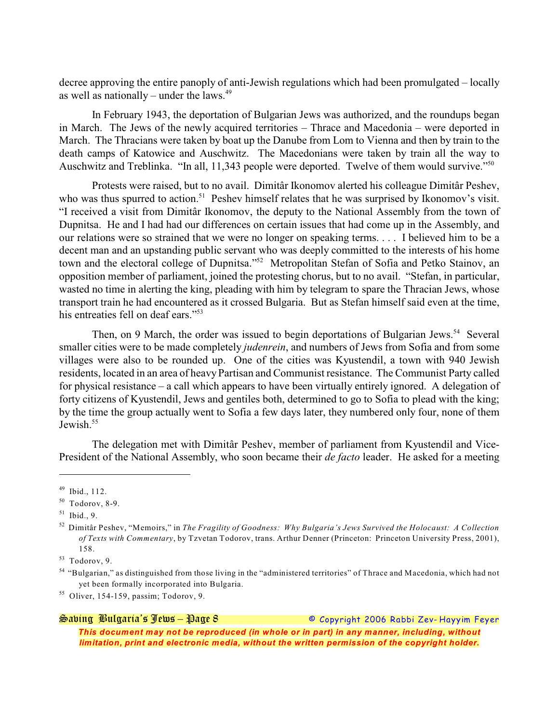decree approving the entire panoply of anti-Jewish regulations which had been promulgated – locally as well as nationally – under the laws.<sup>49</sup>

In February 1943, the deportation of Bulgarian Jews was authorized, and the roundups began in March. The Jews of the newly acquired territories – Thrace and Macedonia – were deported in March. The Thracians were taken by boat up the Danube from Lom to Vienna and then by train to the death camps of Katowice and Auschwitz. The Macedonians were taken by train all the way to Auschwitz and Treblinka. "In all, 11,343 people were deported. Twelve of them would survive."<sup>50</sup>

Protests were raised, but to no avail. Dimitâr Ikonomov alerted his colleague Dimitâr Peshev, who was thus spurred to action.<sup>51</sup> Peshev himself relates that he was surprised by Ikonomov's visit. "I received a visit from Dimitâr Ikonomov, the deputy to the National Assembly from the town of Dupnitsa. He and I had had our differences on certain issues that had come up in the Assembly, and our relations were so strained that we were no longer on speaking terms. . . . I believed him to be a decent man and an upstanding public servant who was deeply committed to the interests of his home town and the electoral college of Dupnitsa."<sup>52</sup> Metropolitan Stefan of Sofia and Petko Stainov, an opposition member of parliament, joined the protesting chorus, but to no avail. "Stefan, in particular, wasted no time in alerting the king, pleading with him by telegram to spare the Thracian Jews, whose transport train he had encountered as it crossed Bulgaria. But as Stefan himself said even at the time, his entreaties fell on deaf ears."<sup>53</sup>

Then, on 9 March, the order was issued to begin deportations of Bulgarian Jews.<sup>54</sup> Several smaller cities were to be made completely *judenrein*, and numbers of Jews from Sofia and from some villages were also to be rounded up. One of the cities was Kyustendil, a town with 940 Jewish residents, located in an area of heavy Partisan and Communist resistance. The Communist Party called for physical resistance – a call which appears to have been virtually entirely ignored. A delegation of forty citizens of Kyustendil, Jews and gentiles both, determined to go to Sofia to plead with the king; by the time the group actually went to Sofia a few days later, they numbered only four, none of them Jewish.<sup>55</sup>

The delegation met with Dimitâr Peshev, member of parliament from Kyustendil and Vice-President of the National Assembly, who soon became their *de facto* leader. He asked for a meeting

*Saving Bulgaria's Jews – Page 8 © Copyright 2006 Rabbi Zev- Hayyim Feyer*

 $49$  Ibid., 112.

 $50$  Todorov, 8-9.

 $51$  Ibid., 9.

Dimitâr Peshev, "Memoirs," in *The Fragility of Goodness: Why Bulgaria's Jews Survived the Holocaust: A Collection* <sup>52</sup> *of Texts with Commentary*, by Tzvetan Todorov, trans. Arthur Denner (Princeton: Princeton University Press, 2001), 158.

 $53$  Todorov, 9.

<sup>&</sup>lt;sup>54</sup> "Bulgarian," as distinguished from those living in the "administered territories" of Thrace and Macedonia, which had not yet been formally incorporated into Bulgaria.

 $55$  Oliver, 154-159, passim; Todorov, 9.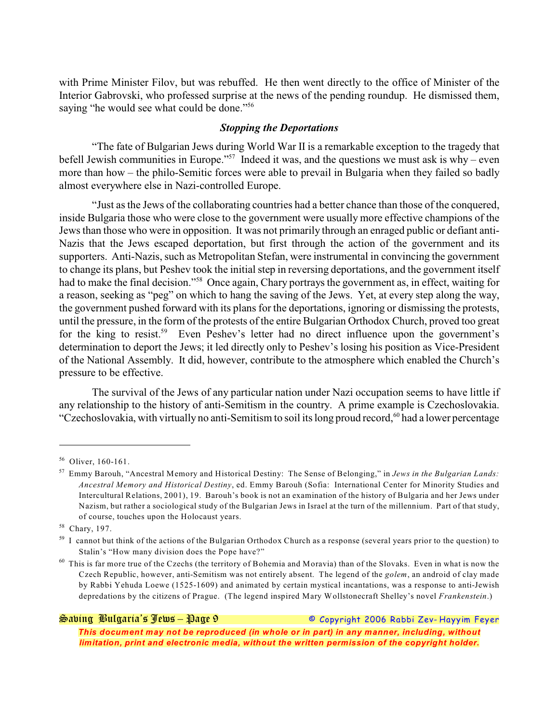with Prime Minister Filov, but was rebuffed. He then went directly to the office of Minister of the Interior Gabrovski, who professed surprise at the news of the pending roundup. He dismissed them, saying "he would see what could be done."<sup>56</sup>

### *Stopping the Deportations*

"The fate of Bulgarian Jews during World War II is a remarkable exception to the tragedy that befell Jewish communities in Europe."<sup>57</sup> Indeed it was, and the questions we must ask is why – even more than how – the philo-Semitic forces were able to prevail in Bulgaria when they failed so badly almost everywhere else in Nazi-controlled Europe.

"Just as the Jews of the collaborating countries had a better chance than those of the conquered, inside Bulgaria those who were close to the government were usually more effective champions of the Jews than those who were in opposition. It was not primarily through an enraged public or defiant anti-Nazis that the Jews escaped deportation, but first through the action of the government and its supporters. Anti-Nazis, such as Metropolitan Stefan, were instrumental in convincing the government to change its plans, but Peshev took the initial step in reversing deportations, and the government itself had to make the final decision."<sup>58</sup> Once again, Chary portrays the government as, in effect, waiting for a reason, seeking as "peg" on which to hang the saving of the Jews. Yet, at every step along the way, the government pushed forward with its plans for the deportations, ignoring or dismissing the protests, until the pressure, in the form of the protests of the entire Bulgarian Orthodox Church, proved too great for the king to resist.<sup>59</sup> Even Peshev's letter had no direct influence upon the government's determination to deport the Jews; it led directly only to Peshev's losing his position as Vice-President of the National Assembly. It did, however, contribute to the atmosphere which enabled the Church's pressure to be effective.

The survival of the Jews of any particular nation under Nazi occupation seems to have little if any relationship to the history of anti-Semitism in the country. A prime example is Czechoslovakia. "Czechoslovakia, with virtually no anti-Semitism to soil its long proud record,<sup>60</sup> had a lower percentage

*Saving Bulgaria's Jews – Page 9 © Copyright 2006 Rabbi Zev- Hayyim Feyer*

<sup>&</sup>lt;sup>56</sup> Oliver, 160-161.

Emmy Barouh, "Ancestral Memory and Historical Destiny: The Sense of Belonging," in *Jews in the Bulgarian Lands:* <sup>57</sup> *Ancestral Memory and Historical Destiny*, ed. Emmy Barouh (Sofia: International Center for Minority Studies and Intercultural Relations, 2001), 19. Barouh's book is not an examination of the history of Bulgaria and her Jews under Nazism, but rather a sociological study of the Bulgarian Jews in Israel at the turn of the millennium. Part of that study, of course, touches upon the Holocaust years.

<sup>58</sup> Chary, 197.

 $59$  I cannot but think of the actions of the Bulgarian Orthodox Church as a response (several years prior to the question) to Stalin's "How many division does the Pope have?"

 $60$  This is far more true of the Czechs (the territory of Bohemia and Moravia) than of the Slovaks. Even in what is now the Czech Republic, however, anti-Semitism was not entirely absent. The legend of the *golem*, an android of clay made by Rabbi Yehuda Loewe (1525-1609) and animated by certain mystical incantations, was a response to anti-Jewish depredations by the citizens of Prague. (The legend inspired Mary Wollstonecraft Shelley's novel *Frankenstein*.)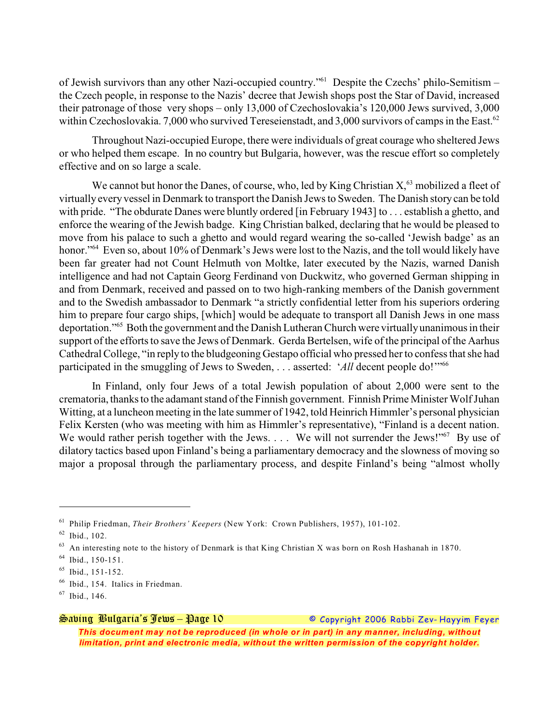of Jewish survivors than any other Nazi-occupied country."<sup>61</sup> Despite the Czechs' philo-Semitism the Czech people, in response to the Nazis' decree that Jewish shops post the Star of David, increased their patronage of those very shops – only 13,000 of Czechoslovakia's 120,000 Jews survived, 3,000 within Czechoslovakia. 7,000 who survived Tereseienstadt, and 3,000 survivors of camps in the East.<sup>62</sup>

Throughout Nazi-occupied Europe, there were individuals of great courage who sheltered Jews or who helped them escape. In no country but Bulgaria, however, was the rescue effort so completely effective and on so large a scale.

We cannot but honor the Danes, of course, who, led by King Christian  $X<sub>0</sub><sup>3</sup>$  mobilized a fleet of virtually every vessel in Denmark to transport the Danish Jewsto Sweden. The Danish story can be told with pride. "The obdurate Danes were bluntly ordered [in February 1943] to . . . establish a ghetto, and enforce the wearing of the Jewish badge. King Christian balked, declaring that he would be pleased to move from his palace to such a ghetto and would regard wearing the so-called 'Jewish badge' as an honor."<sup>64</sup> Even so, about 10% of Denmark's Jews were lost to the Nazis, and the toll would likely have been far greater had not Count Helmuth von Moltke, later executed by the Nazis, warned Danish intelligence and had not Captain Georg Ferdinand von Duckwitz, who governed German shipping in and from Denmark, received and passed on to two high-ranking members of the Danish government and to the Swedish ambassador to Denmark "a strictly confidential letter from his superiors ordering him to prepare four cargo ships, [which] would be adequate to transport all Danish Jews in one mass deportation."<sup>65</sup> Both the government and the Danish Lutheran Church were virtually unanimous in their support of the efforts to save the Jews of Denmark. Gerda Bertelsen, wife of the principal of the Aarhus Cathedral College, "in reply to the bludgeoning Gestapo official who pressed her to confess that she had participated in the smuggling of Jews to Sweden, . . . asserted: 'All decent people do!'"<sup>66</sup>

In Finland, only four Jews of a total Jewish population of about 2,000 were sent to the crematoria, thanks to the adamant stand of the Finnish government. Finnish Prime Minister Wolf Juhan Witting, at a luncheon meeting in the late summer of 1942, told Heinrich Himmler's personal physician Felix Kersten (who was meeting with him as Himmler's representative), "Finland is a decent nation. We would rather perish together with the Jews.  $\dots$  We will not surrender the Jews!"<sup>67</sup> By use of dilatory tactics based upon Finland's being a parliamentary democracy and the slowness of moving so major a proposal through the parliamentary process, and despite Finland's being "almost wholly

<sup>&</sup>lt;sup>61</sup> Philip Friedman, *Their Brothers' Keepers* (New York: Crown Publishers, 1957), 101-102.

 $62$  Ibid., 102.

 $^{63}$  An interesting note to the history of Denmark is that King Christian X was born on Rosh Hashanah in 1870.

 $^{64}$  Ibid., 150-151.

 $^{65}$  Ibid., 151-152.

 $<sup>66</sup>$  Ibid., 154. Italics in Friedman.</sup>

 $67$  Ibid., 146.

*Saving Bulgaria's Jews – Page 10 © Copyright 2006 Rabbi Zev- Hayyim Feyer This document may not be reproduced (in whole or in part) in any manner, including, without limitation, print and electronic media, without the written permission of the copyright holder.*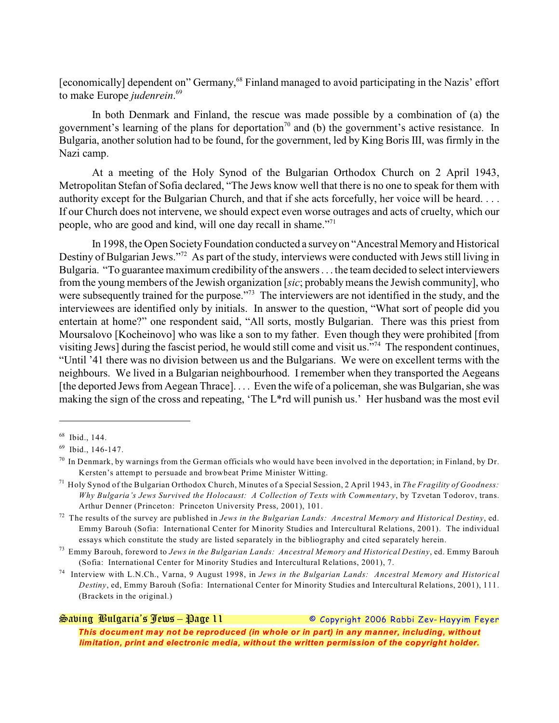[economically] dependent on" Germany,<sup>68</sup> Finland managed to avoid participating in the Nazis' effort to make Europe *judenrein*. 69

In both Denmark and Finland, the rescue was made possible by a combination of (a) the government's learning of the plans for deportation<sup>70</sup> and (b) the government's active resistance. In Bulgaria, another solution had to be found, for the government, led by King Boris III, was firmly in the Nazi camp.

At a meeting of the Holy Synod of the Bulgarian Orthodox Church on 2 April 1943, Metropolitan Stefan of Sofia declared, "The Jews know well that there is no one to speak for them with authority except for the Bulgarian Church, and that if she acts forcefully, her voice will be heard. . . . If our Church does not intervene, we should expect even worse outrages and acts of cruelty, which our people, who are good and kind, will one day recall in shame."<sup>71</sup>

In 1998, the Open Society Foundation conducted a surveyon "Ancestral Memory and Historical Destiny of Bulgarian Jews."<sup>72</sup> As part of the study, interviews were conducted with Jews still living in Bulgaria. "To guarantee maximum credibility of the answers . . . the team decided to select interviewers from the young members of the Jewish organization [*sic*; probablymeans the Jewish community], who were subsequently trained for the purpose.<sup> $373$ </sup> The interviewers are not identified in the study, and the interviewees are identified only by initials. In answer to the question, "What sort of people did you entertain at home?" one respondent said, "All sorts, mostly Bulgarian. There was this priest from Moursalovo [Kocheinovo] who was like a son to my father. Even though they were prohibited [from visiting Jews] during the fascist period, he would still come and visit us."<sup>74</sup> The respondent continues, "Until '41 there was no division between us and the Bulgarians. We were on excellent terms with the neighbours. We lived in a Bulgarian neighbourhood. I remember when they transported the Aegeans [the deported Jews from Aegean Thrace].... Even the wife of a policeman, she was Bulgarian, she was making the sign of the cross and repeating, 'The L\*rd will punish us.' Her husband was the most evil

## *Saving Bulgaria's Jews – Page 11 © Copyright 2006 Rabbi Zev- Hayyim Feyer This document may not be reproduced (in whole or in part) in any manner, including, without limitation, print and electronic media, without the written permission of the copyright holder.*

 $68$  Ibid., 144.

 $^{69}$  Ibid., 146-147.

In Denmark, by warnings from the German officials who would have been involved in the deportation; in Finland, by Dr. Kersten's attempt to persuade and browbeat Prime Minister Witting.

<sup>&</sup>lt;sup>71</sup> Holy Synod of the Bulgarian Orthodox Church, Minutes of a Special Session, 2 April 1943, in *The Fragility of Goodness: Why Bulgaria's Jews Survived the Holocaust: A Collection of Texts with Commentary*, by Tzvetan Todorov, trans. Arthur Denner (Princeton: Princeton University Press, 2001), 101.

The results of the survey are published in *Jews in the Bulgarian Lands: Ancestral Memory and Historical Destiny*, ed. <sup>72</sup> Emmy Barouh (Sofia: International Center for Minority Studies and Intercultural Relations, 2001). The individual essays which constitute the study are listed separately in the bibliography and cited separately herein.

Emmy Barouh, foreword to *Jews in the Bulgarian Lands: Ancestral Memory and Historical Destiny*, ed. Emmy Barouh <sup>73</sup> (Sofia: International Center for Minority Studies and Intercultural Relations, 2001), 7.

Interview with L.N.Ch., Varna, 9 August 1998, in *Jews in the Bulgarian Lands: Ancestral Memory and Historical* <sup>74</sup> *Destiny*, ed, Emmy Barouh (Sofia: International Center for Minority Studies and Intercultural Relations, 2001), 111. (Brackets in the original.)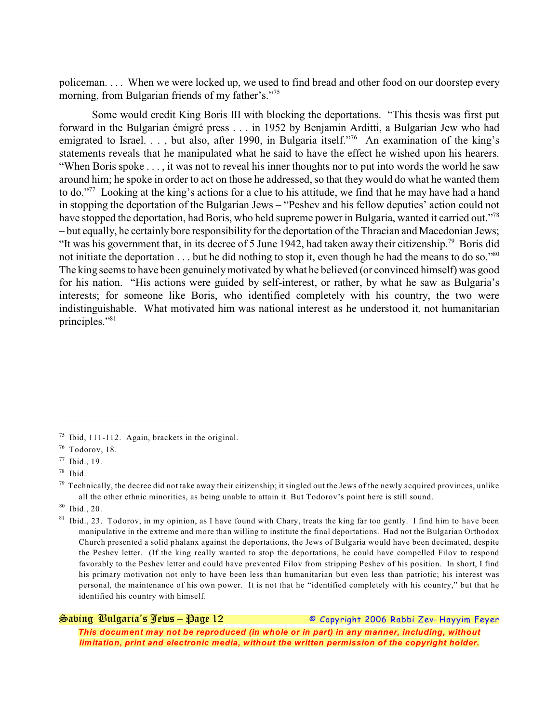policeman. . . . When we were locked up, we used to find bread and other food on our doorstep every morning, from Bulgarian friends of my father's."<sup>75</sup>

Some would credit King Boris III with blocking the deportations. "This thesis was first put forward in the Bulgarian émigré press . . . in 1952 by Benjamin Arditti, a Bulgarian Jew who had emigrated to Israel. . . , but also, after 1990, in Bulgaria itself."<sup>76</sup> An examination of the king's statements reveals that he manipulated what he said to have the effect he wished upon his hearers. "When Boris spoke . . . , it was not to reveal his inner thoughts nor to put into words the world he saw around him; he spoke in order to act on those he addressed, so that they would do what he wanted them to do."<sup>77</sup> Looking at the king's actions for a clue to his attitude, we find that he may have had a hand in stopping the deportation of the Bulgarian Jews – "Peshev and his fellow deputies' action could not have stopped the deportation, had Boris, who held supreme power in Bulgaria, wanted it carried out."<sup>78</sup> – but equally, he certainly bore responsibility for the deportation of the Thracian and Macedonian Jews; "It was his government that, in its decree of 5 June 1942, had taken away their citizenship.<sup>79</sup> Boris did not initiate the deportation . . . but he did nothing to stop it, even though he had the means to do so."<sup>80</sup> The king seems to have been genuinelymotivated bywhat he believed (or convinced himself) was good for his nation. "His actions were guided by self-interest, or rather, by what he saw as Bulgaria's interests; for someone like Boris, who identified completely with his country, the two were indistinguishable. What motivated him was national interest as he understood it, not humanitarian principles."81

 $80$  Ibid., 20.

*Saving Bulgaria's Jews – Page 12 © Copyright 2006 Rabbi Zev- Hayyim Feyer*

 $^{75}$  Ibid, 111-112. Again, brackets in the original.

 $76$  Todorov, 18.

 $77$  Ibid., 19.

 $78$  Ibid.

Technically, the decree did not take away their citizenship; it singled out the Jews of the newly acquired provinces, unlike <sup>79</sup> all the other ethnic minorities, as being unable to attain it. But Todorov's point here is still sound.

<sup>&</sup>lt;sup>81</sup> Ibid., 23. Todorov, in my opinion, as I have found with Chary, treats the king far too gently. I find him to have been manipulative in the extreme and more than willing to institute the final deportations. Had not the Bulgarian Orthodox Church presented a solid phalanx against the deportations, the Jews of Bulgaria would have been decimated, despite the Peshev letter. (If the king really wanted to stop the deportations, he could have compelled Filov to respond favorably to the Peshev letter and could have prevented Filov from stripping Peshev of his position. In short, I find his primary motivation not only to have been less than humanitarian but even less than patriotic; his interest was personal, the maintenance of his own power. It is not that he "identified completely with his country," but that he identified his country with himself.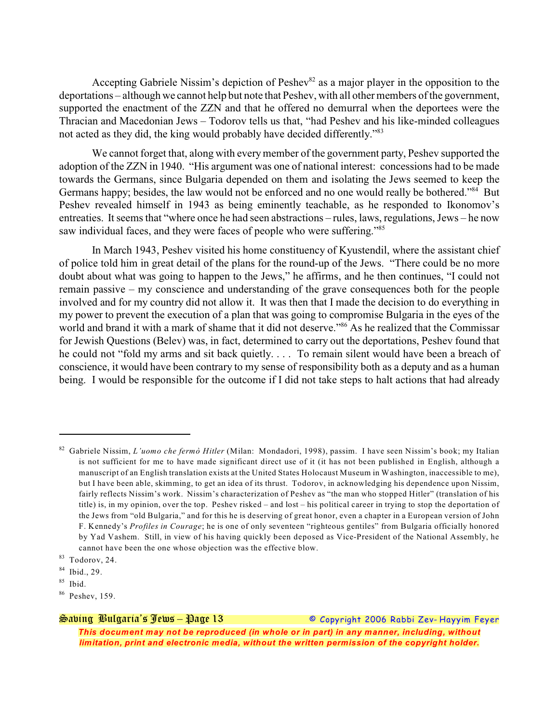Accepting Gabriele Nissim's depiction of Peshev<sup>82</sup> as a major player in the opposition to the deportations – although we cannot help but note that Peshev, with all other members of the government, supported the enactment of the ZZN and that he offered no demurral when the deportees were the Thracian and Macedonian Jews – Todorov tells us that, "had Peshev and his like-minded colleagues not acted as they did, the king would probably have decided differently."<sup>83</sup>

We cannot forget that, along with every member of the government party, Peshev supported the adoption of the ZZN in 1940. "His argument was one of national interest: concessions had to be made towards the Germans, since Bulgaria depended on them and isolating the Jews seemed to keep the Germans happy; besides, the law would not be enforced and no one would really be bothered."<sup>84</sup> But Peshev revealed himself in 1943 as being eminently teachable, as he responded to Ikonomov's entreaties. It seems that "where once he had seen abstractions – rules, laws, regulations, Jews – he now saw individual faces, and they were faces of people who were suffering."<sup>85</sup>

In March 1943, Peshev visited his home constituency of Kyustendil, where the assistant chief of police told him in great detail of the plans for the round-up of the Jews. "There could be no more doubt about what was going to happen to the Jews," he affirms, and he then continues, "I could not remain passive – my conscience and understanding of the grave consequences both for the people involved and for my country did not allow it. It was then that I made the decision to do everything in my power to prevent the execution of a plan that was going to compromise Bulgaria in the eyes of the world and brand it with a mark of shame that it did not deserve."<sup>86</sup> As he realized that the Commissar for Jewish Questions (Belev) was, in fact, determined to carry out the deportations, Peshev found that he could not "fold my arms and sit back quietly. . . . To remain silent would have been a breach of conscience, it would have been contrary to my sense of responsibility both as a deputy and as a human being. I would be responsible for the outcome if I did not take steps to halt actions that had already

*Saving Bulgaria's Jews – Page 13 © Copyright 2006 Rabbi Zev- Hayyim Feyer*

<sup>&</sup>lt;sup>82</sup> Gabriele Nissim, *L'uomo che fermò Hitler* (Milan: Mondadori, 1998), passim. I have seen Nissim's book; my Italian is not sufficient for me to have made significant direct use of it (it has not been published in English, although a manuscript of an English translation exists at the United States Holocaust Museum in Washington, inaccessible to me), but I have been able, skimming, to get an idea of its thrust. Todorov, in acknowledging his dependence upon Nissim, fairly reflects Nissim's work. Nissim's characterization of Peshev as "the man who stopped Hitler" (translation of his title) is, in my opinion, over the top. Peshev risked – and lost – his political career in trying to stop the deportation of the Jews from "old Bulgaria," and for this he is deserving of great honor, even a chapter in a European version of John F. Kennedy's *Profiles in Courage*; he is one of only seventeen "righteous gentiles" from Bulgaria officially honored by Yad Vashem. Still, in view of his having quickly been deposed as Vice-President of the National Assembly, he cannot have been the one whose objection was the effective blow.

 $83$  Todorov, 24.

 $84$  Ibid., 29.

 $85$  Ibid.

 $86$  Peshev, 159.

*This document may not be reproduced (in whole or in part) in any manner, including, without limitation, print and electronic media, without the written permission of the copyright holder.*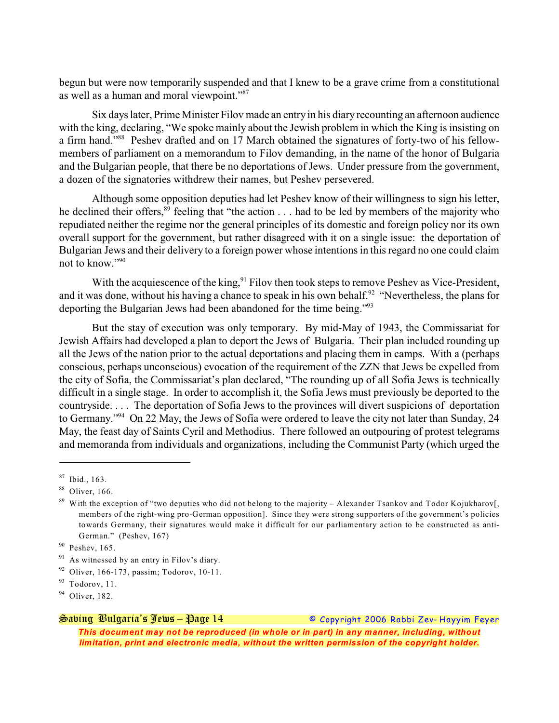begun but were now temporarily suspended and that I knew to be a grave crime from a constitutional as well as a human and moral viewpoint."<sup>87</sup>

Six days later, Prime Minister Filov made an entry in his diary recounting an afternoon audience with the king, declaring, "We spoke mainly about the Jewish problem in which the King is insisting on a firm hand."<sup>88</sup> Peshev drafted and on 17 March obtained the signatures of forty-two of his fellowmembers of parliament on a memorandum to Filov demanding, in the name of the honor of Bulgaria and the Bulgarian people, that there be no deportations of Jews. Under pressure from the government, a dozen of the signatories withdrew their names, but Peshev persevered.

Although some opposition deputies had let Peshev know of their willingness to sign his letter, he declined their offers,  $89$  feeling that "the action . . . had to be led by members of the majority who repudiated neither the regime nor the general principles of its domestic and foreign policy nor its own overall support for the government, but rather disagreed with it on a single issue: the deportation of Bulgarian Jews and their delivery to a foreign power whose intentions in this regard no one could claim not to know."90

With the acquiescence of the king,  $91$  Filov then took steps to remove Peshev as Vice-President, and it was done, without his having a chance to speak in his own behalf.<sup>92</sup> "Nevertheless, the plans for deporting the Bulgarian Jews had been abandoned for the time being."<sup>93</sup>

But the stay of execution was only temporary. By mid-May of 1943, the Commissariat for Jewish Affairs had developed a plan to deport the Jews of Bulgaria. Their plan included rounding up all the Jews of the nation prior to the actual deportations and placing them in camps. With a (perhaps conscious, perhaps unconscious) evocation of the requirement of the ZZN that Jews be expelled from the city of Sofia, the Commissariat's plan declared, "The rounding up of all Sofia Jews is technically difficult in a single stage. In order to accomplish it, the Sofia Jews must previously be deported to the countryside. . . . The deportation of Sofia Jews to the provinces will divert suspicions of deportation to Germany."<sup>94</sup> On 22 May, the Jews of Sofia were ordered to leave the city not later than Sunday, 24 May, the feast day of Saints Cyril and Methodius. There followed an outpouring of protest telegrams and memoranda from individuals and organizations, including the Communist Party (which urged the

*Saving Bulgaria's Jews – Page 14 © Copyright 2006 Rabbi Zev- Hayyim Feyer*

 $87$  Ibid., 163.

 $88$  Oliver, 166.

 $\frac{89}{9}$  With the exception of "two deputies who did not belong to the majority – Alexander Tsankov and Todor Kojukharov[, members of the right-wing pro-German opposition]. Since they were strong supporters of the government's policies towards Germany, their signatures would make it difficult for our parliamentary action to be constructed as anti-German." (Peshev, 167)

 $90$  Peshev, 165.

 $91$  As witnessed by an entry in Filov's diary.

 $92$  Oliver, 166-173, passim; Todorov, 10-11.

 $93$  Todorov, 11.

 $94$  Oliver, 182.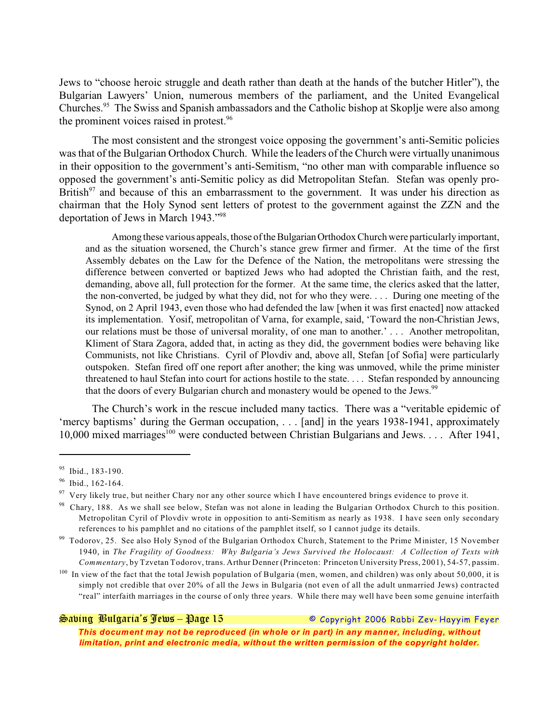Jews to "choose heroic struggle and death rather than death at the hands of the butcher Hitler"), the Bulgarian Lawyers' Union, numerous members of the parliament, and the United Evangelical Churches.<sup>95</sup> The Swiss and Spanish ambassadors and the Catholic bishop at Skoplje were also among the prominent voices raised in protest.<sup>96</sup>

The most consistent and the strongest voice opposing the government's anti-Semitic policies was that of the Bulgarian Orthodox Church. While the leaders of the Church were virtually unanimous in their opposition to the government's anti-Semitism, "no other man with comparable influence so opposed the government's anti-Semitic policy as did Metropolitan Stefan. Stefan was openly pro-British<sup>97</sup> and because of this an embarrassment to the government. It was under his direction as chairman that the Holy Synod sent letters of protest to the government against the ZZN and the deportation of Jews in March 1943."<sup>98</sup>

Among these various appeals, those of the Bulgarian Orthodox Church were particularly important, and as the situation worsened, the Church's stance grew firmer and firmer. At the time of the first Assembly debates on the Law for the Defence of the Nation, the metropolitans were stressing the difference between converted or baptized Jews who had adopted the Christian faith, and the rest, demanding, above all, full protection for the former. At the same time, the clerics asked that the latter, the non-converted, be judged by what they did, not for who they were. . . . During one meeting of the Synod, on 2 April 1943, even those who had defended the law [when it was first enacted] now attacked its implementation. Yosif, metropolitan of Varna, for example, said, 'Toward the non-Christian Jews, our relations must be those of universal morality, of one man to another.' . . . Another metropolitan, Kliment of Stara Zagora, added that, in acting as they did, the government bodies were behaving like Communists, not like Christians. Cyril of Plovdiv and, above all, Stefan [of Sofia] were particularly outspoken. Stefan fired off one report after another; the king was unmoved, while the prime minister threatened to haul Stefan into court for actions hostile to the state. . . . Stefan responded by announcing that the doors of every Bulgarian church and monastery would be opened to the Jews.<sup>99</sup>

The Church's work in the rescue included many tactics. There was a "veritable epidemic of 'mercy baptisms' during the German occupation, . . . [and] in the years 1938-1941, approximately 10,000 mixed marriages<sup>100</sup> were conducted between Christian Bulgarians and Jews. . . . After 1941,

*Saving Bulgaria's Jews – Page 15 © Copyright 2006 Rabbi Zev- Hayyim Feyer*

 $95$  Ibid., 183-190.

 $96$  Ibid., 162-164.

Very likely true, but neither Chary nor any other source which I have encountered brings evidence to prove it. 97

 $98$  Chary, 188. As we shall see below, Stefan was not alone in leading the Bulgarian Orthodox Church to this position. Metropolitan Cyril of Plovdiv wrote in opposition to anti-Semitism as nearly as 1938. I have seen only secondary references to his pamphlet and no citations of the pamphlet itself, so I cannot judge its details.

<sup>&</sup>lt;sup>99</sup> Todorov, 25. See also Holy Synod of the Bulgarian Orthodox Church, Statement to the Prime Minister, 15 November 1940, in *The Fragility of Goodness: Why Bulgaria's Jews Survived the Holocaust: A Collection of Texts with Commentary*, by Tzvetan Todorov, trans. Arthur Denner (Princeton: Princeton University Press, 2001), 54-57, passim.

<sup>&</sup>lt;sup>100</sup> In view of the fact that the total Jewish population of Bulgaria (men, women, and children) was only about 50,000, it is simply not credible that over 20% of all the Jews in Bulgaria (not even of all the adult unmarried Jews) contracted "real" interfaith marriages in the course of only three years. While there may well have been some genuine interfaith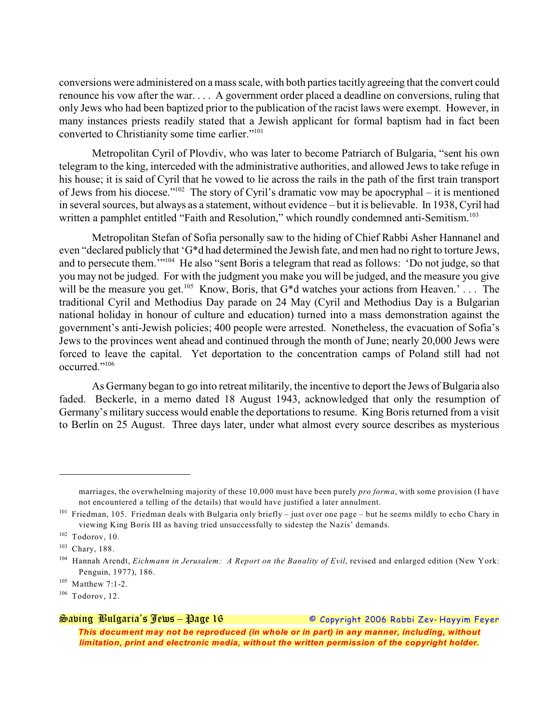conversions were administered on a mass scale, with both parties tacitly agreeing that the convert could renounce his vow after the war. . . . A government order placed a deadline on conversions, ruling that only Jews who had been baptized prior to the publication of the racist laws were exempt. However, in many instances priests readily stated that a Jewish applicant for formal baptism had in fact been converted to Christianity some time earlier."<sup>101</sup>

Metropolitan Cyril of Plovdiv, who was later to become Patriarch of Bulgaria, "sent his own telegram to the king, interceded with the administrative authorities, and allowed Jews to take refuge in his house; it is said of Cyril that he vowed to lie across the rails in the path of the first train transport of Jews from his diocese."<sup>102</sup> The story of Cyril's dramatic vow may be apocryphal – it is mentioned in several sources, but always as a statement, without evidence – but it is believable. In 1938, Cyril had written a pamphlet entitled "Faith and Resolution," which roundly condemned anti-Semitism.<sup>103</sup>

Metropolitan Stefan of Sofia personally saw to the hiding of Chief Rabbi Asher Hannanel and even "declared publicly that 'G\*d had determined the Jewish fate, and men had no right to torture Jews, and to persecute them.  $\cdot$ <sup>104</sup> He also "sent Boris a telegram that read as follows: 'Do not judge, so that you may not be judged. For with the judgment you make you will be judged, and the measure you give will be the measure you get.<sup>105</sup> Know, Boris, that G\*d watches your actions from Heaven.' . . . The traditional Cyril and Methodius Day parade on 24 May (Cyril and Methodius Day is a Bulgarian national holiday in honour of culture and education) turned into a mass demonstration against the government's anti-Jewish policies; 400 people were arrested. Nonetheless, the evacuation of Sofia's Jews to the provinces went ahead and continued through the month of June; nearly 20,000 Jews were forced to leave the capital. Yet deportation to the concentration camps of Poland still had not occurred."<sup>106</sup>

As Germany began to go into retreat militarily, the incentive to deport the Jews of Bulgaria also faded. Beckerle, in a memo dated 18 August 1943, acknowledged that only the resumption of Germany's military success would enable the deportations to resume. King Boris returned from a visit to Berlin on 25 August. Three days later, under what almost every source describes as mysterious

marriages, the overwhelming majority of these 10,000 must have been purely *pro forma*, with some provision (I have not encountered a telling of the details) that would have justified a later annulment.

 $101$  Friedman, 105. Friedman deals with Bulgaria only briefly – just over one page – but he seems mildly to echo Chary in viewing King Boris III as having tried unsuccessfully to sidestep the Nazis' demands.

 $102$  Todorov, 10.

 $103$  Chary, 188.

Hannah Arendt, *Eichmann in Jerusalem: A Report on the Banality of Evil*, revised and enlarged edition (New York: <sup>104</sup> Penguin, 1977), 186.

 $105$  Matthew 7:1-2.

 $106$  Todorov, 12.

*Saving Bulgaria's Jews – Page 16 © Copyright 2006 Rabbi Zev- Hayyim Feyer This document may not be reproduced (in whole or in part) in any manner, including, without limitation, print and electronic media, without the written permission of the copyright holder.*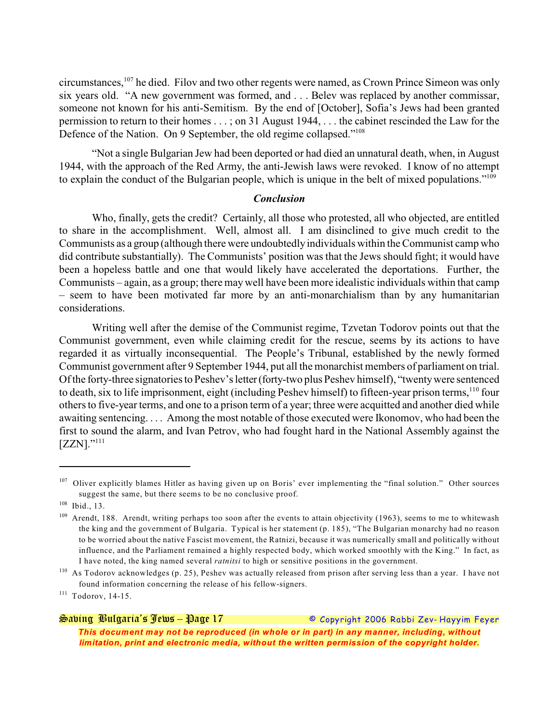circumstances,  $107$  he died. Filov and two other regents were named, as Crown Prince Simeon was only six years old. "A new government was formed, and . . . Belev was replaced by another commissar, someone not known for his anti-Semitism. By the end of [October], Sofia's Jews had been granted permission to return to their homes . . . ; on 31 August 1944, . . . the cabinet rescinded the Law for the Defence of the Nation. On 9 September, the old regime collapsed."<sup>108</sup>

"Not a single Bulgarian Jew had been deported or had died an unnatural death, when, in August 1944, with the approach of the Red Army, the anti-Jewish laws were revoked. I know of no attempt to explain the conduct of the Bulgarian people, which is unique in the belt of mixed populations."<sup>109</sup>

### *Conclusion*

Who, finally, gets the credit? Certainly, all those who protested, all who objected, are entitled to share in the accomplishment. Well, almost all. I am disinclined to give much credit to the Communists as a group (although there were undoubtedly individuals within the Communist camp who did contribute substantially). The Communists' position was that the Jews should fight; it would have been a hopeless battle and one that would likely have accelerated the deportations. Further, the Communists – again, as a group; there may well have been more idealistic individuals within that camp – seem to have been motivated far more by an anti-monarchialism than by any humanitarian considerations.

Writing well after the demise of the Communist regime, Tzvetan Todorov points out that the Communist government, even while claiming credit for the rescue, seems by its actions to have regarded it as virtually inconsequential. The People's Tribunal, established by the newly formed Communist government after 9 September 1944, put all the monarchist members of parliament on trial. Of the forty-three signatories to Peshev's letter (forty-two plus Peshev himself), "twenty were sentenced to death, six to life imprisonment, eight (including Peshev himself) to fifteen-year prison terms, <sup>110</sup> four others to five-year terms, and one to a prison term of a year; three were acquitted and another died while awaiting sentencing. . . . Among the most notable of those executed were Ikonomov, who had been the first to sound the alarm, and Ivan Petrov, who had fought hard in the National Assembly against the  $[ZZN]$ ."111

## *Saving Bulgaria's Jews – Page 17 © Copyright 2006 Rabbi Zev- Hayyim Feyer This document may not be reproduced (in whole or in part) in any manner, including, without limitation, print and electronic media, without the written permission of the copyright holder.*

 $107$  Oliver explicitly blames Hitler as having given up on Boris' ever implementing the "final solution." Other sources suggest the same, but there seems to be no conclusive proof.

 $108$  Ibid., 13.

 $109$  Arendt, 188. Arendt, writing perhaps too soon after the events to attain objectivity (1963), seems to me to whitewash the king and the government of Bulgaria. Typical is her statement (p. 185), "The Bulgarian monarchy had no reason to be worried about the native Fascist movement, the Ratnizi, because it was numerically small and politically without influence, and the Parliament remained a highly respected body, which worked smoothly with the King." In fact, as I have noted, the king named several *ratnitsi* to high or sensitive positions in the government.

 $110$  As Todorov acknowledges (p. 25), Peshev was actually released from prison after serving less than a year. I have not found information concerning the release of his fellow-signers.

 $111$  Todorov, 14-15.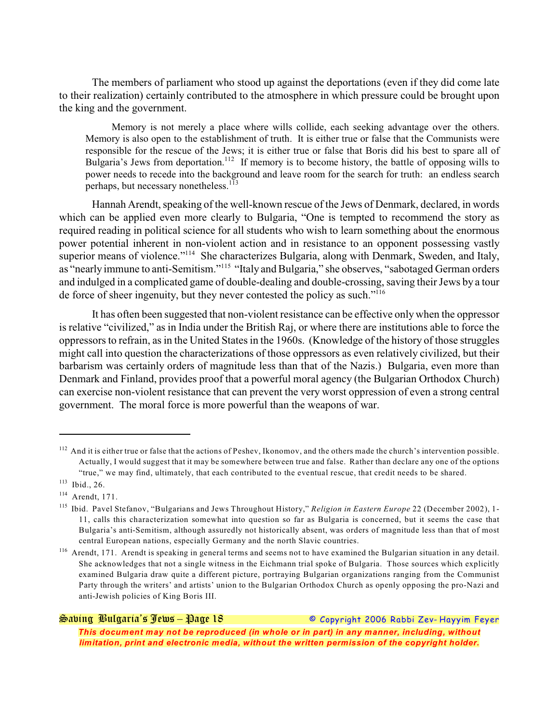The members of parliament who stood up against the deportations (even if they did come late to their realization) certainly contributed to the atmosphere in which pressure could be brought upon the king and the government.

Memory is not merely a place where wills collide, each seeking advantage over the others. Memory is also open to the establishment of truth. It is either true or false that the Communists were responsible for the rescue of the Jews; it is either true or false that Boris did his best to spare all of Bulgaria's Jews from deportation.<sup>112</sup> If memory is to become history, the battle of opposing wills to power needs to recede into the background and leave room for the search for truth: an endless search perhaps, but necessary nonetheless.<sup>113</sup>

Hannah Arendt, speaking of the well-known rescue of the Jews of Denmark, declared, in words which can be applied even more clearly to Bulgaria, "One is tempted to recommend the story as required reading in political science for all students who wish to learn something about the enormous power potential inherent in non-violent action and in resistance to an opponent possessing vastly superior means of violence."<sup> $114$ </sup> She characterizes Bulgaria, along with Denmark, Sweden, and Italy, as "nearly immune to anti-Semitism."<sup>115</sup> "Italy and Bulgaria," she observes, "sabotaged German orders and indulged in a complicated game of double-dealing and double-crossing, saving their Jews by a tour de force of sheer ingenuity, but they never contested the policy as such."<sup>116</sup>

It has often been suggested that non-violent resistance can be effective only when the oppressor is relative "civilized," as in India under the British Raj, or where there are institutions able to force the oppressors to refrain, as in the United States in the 1960s. (Knowledge of the history of those struggles might call into question the characterizations of those oppressors as even relatively civilized, but their barbarism was certainly orders of magnitude less than that of the Nazis.) Bulgaria, even more than Denmark and Finland, provides proof that a powerful moral agency (the Bulgarian Orthodox Church) can exercise non-violent resistance that can prevent the very worst oppression of even a strong central government. The moral force is more powerful than the weapons of war.

*Saving Bulgaria's Jews – Page 18 © Copyright 2006 Rabbi Zev- Hayyim Feyer*

<sup>&</sup>lt;sup>112</sup> And it is either true or false that the actions of Peshev, Ikonomov, and the others made the church's intervention possible. Actually, I would suggest that it may be somewhere between true and false. Rather than declare any one of the options "true," we may find, ultimately, that each contributed to the eventual rescue, that credit needs to be shared.

 $113$  Ibid., 26.

 $114$  Arendt, 171.

<sup>&</sup>lt;sup>115</sup> Ibid. Pavel Stefanov, "Bulgarians and Jews Throughout History," *Religion in Eastern Europe* 22 (December 2002), 1-11, calls this characterization somewhat into question so far as Bulgaria is concerned, but it seems the case that Bulgaria's anti-Semitism, although assuredly not historically absent, was orders of magnitude less than that of most central European nations, especially Germany and the north Slavic countries.

 $116$  Arendt, 171. Arendt is speaking in general terms and seems not to have examined the Bulgarian situation in any detail. She acknowledges that not a single witness in the Eichmann trial spoke of Bulgaria. Those sources which explicitly examined Bulgaria draw quite a different picture, portraying Bulgarian organizations ranging from the Communist Party through the writers' and artists' union to the Bulgarian Orthodox Church as openly opposing the pro-Nazi and anti-Jewish policies of King Boris III.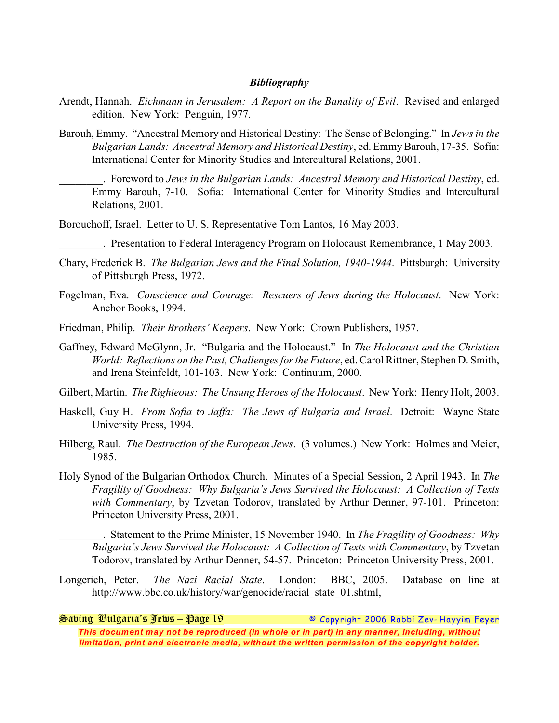### *Bibliography*

- Arendt, Hannah. *Eichmann in Jerusalem: A Report on the Banality of Evil*. Revised and enlarged edition. New York: Penguin, 1977.
- Barouh, Emmy. "Ancestral Memory and Historical Destiny: The Sense of Belonging." In *Jews in the Bulgarian Lands: Ancestral Memory and Historical Destiny*, ed. EmmyBarouh, 17-35. Sofia: International Center for Minority Studies and Intercultural Relations, 2001.
	- \_\_\_\_\_\_\_\_. Foreword to *Jews in the Bulgarian Lands: Ancestral Memory and Historical Destiny*, ed. Emmy Barouh, 7-10. Sofia: International Center for Minority Studies and Intercultural Relations, 2001.

Borouchoff, Israel. Letter to U. S. Representative Tom Lantos, 16 May 2003.

. Presentation to Federal Interagency Program on Holocaust Remembrance, 1 May 2003.

- Chary, Frederick B. *The Bulgarian Jews and the Final Solution, 1940-1944*. Pittsburgh: University of Pittsburgh Press, 1972.
- Fogelman, Eva. *Conscience and Courage: Rescuers of Jews during the Holocaust*. New York: Anchor Books, 1994.
- Friedman, Philip. *Their Brothers' Keepers*. New York: Crown Publishers, 1957.
- Gaffney, Edward McGlynn, Jr. "Bulgaria and the Holocaust." In *The Holocaust and the Christian World: Reflections on the Past, Challenges for the Future*, ed. Carol Rittner, Stephen D. Smith, and Irena Steinfeldt, 101-103. New York: Continuum, 2000.
- Gilbert, Martin. *The Righteous: The Unsung Heroes of the Holocaust*. New York: Henry Holt, 2003.
- Haskell, Guy H. *From Sofia to Jaffa: The Jews of Bulgaria and Israel*. Detroit: Wayne State University Press, 1994.
- Hilberg, Raul. *The Destruction of the European Jews*. (3 volumes.) New York: Holmes and Meier, 1985.
- Holy Synod of the Bulgarian Orthodox Church. Minutes of a Special Session, 2 April 1943. In *The Fragility of Goodness: Why Bulgaria's Jews Survived the Holocaust: A Collection of Texts with Commentary*, by Tzvetan Todorov, translated by Arthur Denner, 97-101. Princeton: Princeton University Press, 2001.

\_\_\_\_\_\_\_\_. Statement to the Prime Minister, 15 November 1940. In *The Fragility of Goodness: Why Bulgaria's Jews Survived the Holocaust: A Collection of Texts with Commentary*, by Tzvetan Todorov, translated by Arthur Denner, 54-57. Princeton: Princeton University Press, 2001.

Longerich, Peter. *The Nazi Racial State*. London: BBC, 2005. Database on line at http://www.bbc.co.uk/history/war/genocide/racial\_state\_01.shtml,

*Saving Bulgaria's Jews – Page 19 © Copyright 2006 Rabbi Zev- Hayyim Feyer This document may not be reproduced (in whole or in part) in any manner, including, without limitation, print and electronic media, without the written permission of the copyright holder.*